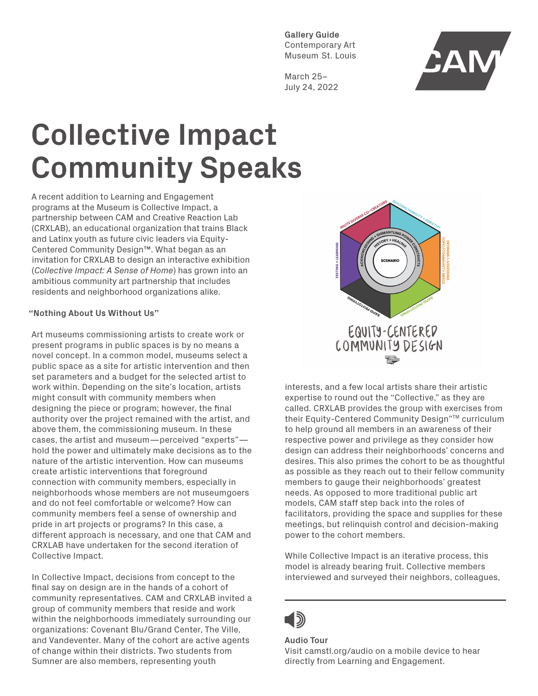**Gallery Guide** Contemporary Art Museum St. Louis

March 25– July 24, 2022



# **Collective Impact Community Speaks**

A recent addition to Learning and Engagement programs at the Museum is Collective Impact, a partnership between CAM and Creative Reaction Lab (CRXLAB), an educational organization that trains Black and Latinx youth as future civic leaders via Equity-Centered Community Design™. What began as an invitation for CRXLAB to design an interactive exhibition (*Collective Impact: A Sense of Home*) has grown into an ambitious community art partnership that includes residents and neighborhood organizations alike.

## **"Nothing About Us Without Us"**

Art museums commissioning artists to create work or present programs in public spaces is by no means a novel concept. In a common model, museums select a public space as a site for artistic intervention and then set parameters and a budget for the selected artist to work within. Depending on the site's location, artists might consult with community members when designing the piece or program; however, the final authority over the project remained with the artist, and above them, the commissioning museum. In these cases, the artist and museum—perceived "experts" hold the power and ultimately make decisions as to the nature of the artistic intervention. How can museums create artistic interventions that foreground connection with community members, especially in neighborhoods whose members are not museumgoers and do not feel comfortable or welcome? How can community members feel a sense of ownership and pride in art projects or programs? In this case, a different approach is necessary, and one that CAM and CRXLAB have undertaken for the second iteration of Collective Impact.

In Collective Impact, decisions from concept to the final say on design are in the hands of a cohort of community representatives. CAM and CRXLAB invited a group of community members that reside and work within the neighborhoods immediately surrounding our organizations: Covenant Blu/Grand Center, The Ville, and Vandeventer. Many of the cohort are active agents of change within their districts. Two students from Sumner are also members, representing youth



interests, and a few local artists share their artistic expertise to round out the "Collective," as they are called. CRXLAB provides the group with exercises from their Equity-Centered Community Design"™ curriculum to help ground all members in an awareness of their respective power and privilege as they consider how design can address their neighborhoods' concerns and desires. This also primes the cohort to be as thoughtful as possible as they reach out to their fellow community members to gauge their neighborhoods' greatest needs. As opposed to more traditional public art models, CAM staff step back into the roles of facilitators, providing the space and supplies for these meetings, but relinquish control and decision-making power to the cohort members.

While Collective Impact is an iterative process, this model is already bearing fruit. Collective members interviewed and surveyed their neighbors, colleagues,

# 15)

#### **Audio Tour** Visit camstl.org/audio on a mobile device to hear directly from Learning and Engagement.